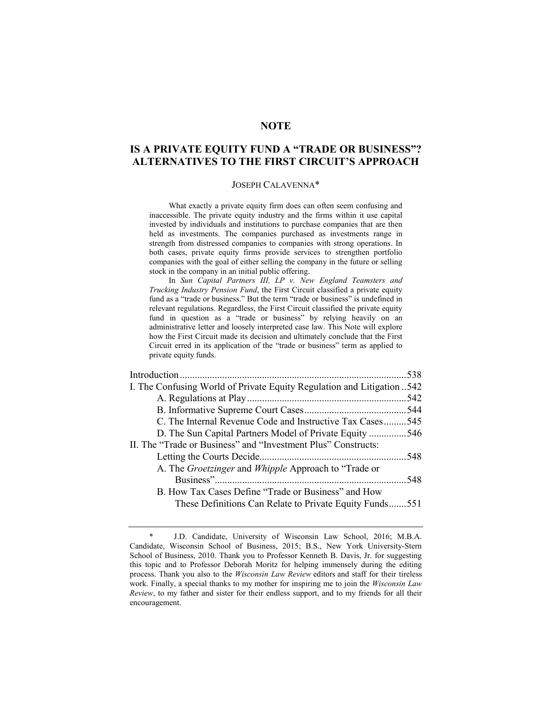# **NOTE**

# **IS A PRIVATE EQUITY FUND A "TRADE OR BUSINESS"? ALTERNATIVES TO THE FIRST CIRCUIT'S APPROACH**

#### JOSEPH CALAVENNA\*

What exactly a private equity firm does can often seem confusing and inaccessible. The private equity industry and the firms within it use capital invested by individuals and institutions to purchase companies that are then held as investments. The companies purchased as investments range in strength from distressed companies to companies with strong operations. In both cases, private equity firms provide services to strengthen portfolio companies with the goal of either selling the company in the future or selling stock in the company in an initial public offering.

 In *Sun Capital Partners III, LP v. New England Teamsters and Trucking Industry Pension Fund*, the First Circuit classified a private equity fund as a "trade or business." But the term "trade or business" is undefined in relevant regulations. Regardless, the First Circuit classified the private equity fund in question as a "trade or business" by relying heavily on an administrative letter and loosely interpreted case law. This Note will explore how the First Circuit made its decision and ultimately conclude that the First Circuit erred in its application of the "trade or business" term as applied to private equity funds.

|                                                                        | .538 |
|------------------------------------------------------------------------|------|
| I. The Confusing World of Private Equity Regulation and Litigation 542 |      |
|                                                                        | .542 |
|                                                                        | 544  |
| C. The Internal Revenue Code and Instructive Tax Cases545              |      |
| D. The Sun Capital Partners Model of Private Equity 546                |      |
| II. The "Trade or Business" and "Investment Plus" Constructs:          |      |
|                                                                        | .548 |
| A. The <i>Groetzinger</i> and <i>Whipple</i> Approach to "Trade or     |      |
|                                                                        | 548  |
| B. How Tax Cases Define "Trade or Business" and How                    |      |
| These Definitions Can Relate to Private Equity Funds551                |      |
|                                                                        |      |

J.D. Candidate, University of Wisconsin Law School, 2016; M.B.A. Candidate, Wisconsin School of Business, 2015; B.S., New York University-Stern School of Business, 2010. Thank you to Professor Kenneth B. Davis, Jr. for suggesting this topic and to Professor Deborah Moritz for helping immensely during the editing process. Thank you also to the *Wisconsin Law Review* editors and staff for their tireless work. Finally, a special thanks to my mother for inspiring me to join the *Wisconsin Law Review*, to my father and sister for their endless support, and to my friends for all their encouragement.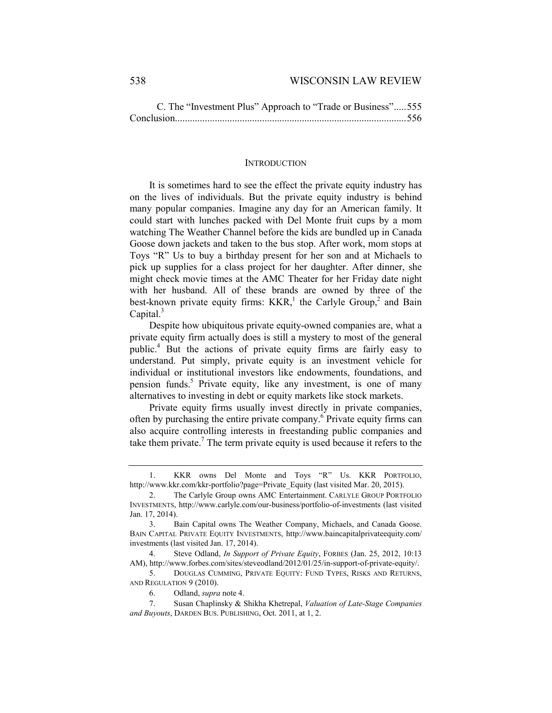| C. The "Investment Plus" Approach to "Trade or Business"555 |  |  |
|-------------------------------------------------------------|--|--|
|                                                             |  |  |

#### **INTRODUCTION**

It is sometimes hard to see the effect the private equity industry has on the lives of individuals. But the private equity industry is behind many popular companies. Imagine any day for an American family. It could start with lunches packed with Del Monte fruit cups by a mom watching The Weather Channel before the kids are bundled up in Canada Goose down jackets and taken to the bus stop. After work, mom stops at Toys "R" Us to buy a birthday present for her son and at Michaels to pick up supplies for a class project for her daughter. After dinner, she might check movie times at the AMC Theater for her Friday date night with her husband. All of these brands are owned by three of the best-known private equity firms:  $KKR$ ,<sup>1</sup> the Carlyle Group,<sup>2</sup> and Bain Capital. $3$ 

Despite how ubiquitous private equity-owned companies are, what a private equity firm actually does is still a mystery to most of the general public.<sup>4</sup> But the actions of private equity firms are fairly easy to understand. Put simply, private equity is an investment vehicle for individual or institutional investors like endowments, foundations, and pension funds.<sup>5</sup> Private equity, like any investment, is one of many alternatives to investing in debt or equity markets like stock markets.

Private equity firms usually invest directly in private companies, often by purchasing the entire private company.<sup>6</sup> Private equity firms can also acquire controlling interests in freestanding public companies and take them private.<sup>7</sup> The term private equity is used because it refers to the

5. DOUGLAS CUMMING, PRIVATE EQUITY: FUND TYPES, RISKS AND RETURNS, AND REGULATION 9 (2010).

<sup>1.</sup> KKR owns Del Monte and Toys "R" Us. KKR PORTFOLIO, http://www.kkr.com/kkr-portfolio?page=Private\_Equity (last visited Mar. 20, 2015).

<sup>2.</sup> The Carlyle Group owns AMC Entertainment. CARLYLE GROUP PORTFOLIO INVESTMENTS, http://www.carlyle.com/our-business/portfolio-of-investments (last visited Jan. 17, 2014).

<sup>3.</sup> Bain Capital owns The Weather Company, Michaels, and Canada Goose. BAIN CAPITAL PRIVATE EQUITY INVESTMENTS, http://www.baincapitalprivateequity.com/ investments (last visited Jan. 17, 2014).

<sup>4.</sup> Steve Odland, *In Support of Private Equity*, FORBES (Jan. 25, 2012, 10:13 AM), http://www.forbes.com/sites/steveodland/2012/01/25/in-support-of-private-equity/.

<sup>6.</sup> Odland, *supra* note 4.

<sup>7.</sup> Susan Chaplinsky & Shikha Khetrepal, *Valuation of Late-Stage Companies and Buyouts*, DARDEN BUS. PUBLISHING, Oct. 2011, at 1, 2.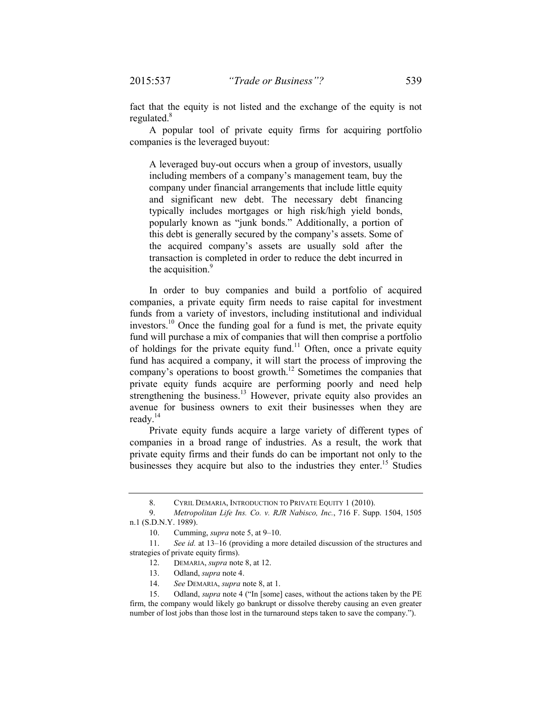fact that the equity is not listed and the exchange of the equity is not regulated.<sup>8</sup>

A popular tool of private equity firms for acquiring portfolio companies is the leveraged buyout:

A leveraged buy-out occurs when a group of investors, usually including members of a company's management team, buy the company under financial arrangements that include little equity and significant new debt. The necessary debt financing typically includes mortgages or high risk/high yield bonds, popularly known as "junk bonds." Additionally, a portion of this debt is generally secured by the company's assets. Some of the acquired company's assets are usually sold after the transaction is completed in order to reduce the debt incurred in the acquisition.<sup>9</sup>

In order to buy companies and build a portfolio of acquired companies, a private equity firm needs to raise capital for investment funds from a variety of investors, including institutional and individual investors.<sup>10</sup> Once the funding goal for a fund is met, the private equity fund will purchase a mix of companies that will then comprise a portfolio of holdings for the private equity fund.<sup>11</sup> Often, once a private equity fund has acquired a company, it will start the process of improving the company's operations to boost growth.<sup>12</sup> Sometimes the companies that private equity funds acquire are performing poorly and need help strengthening the business.<sup>13</sup> However, private equity also provides an avenue for business owners to exit their businesses when they are ready. $^{14}$ 

Private equity funds acquire a large variety of different types of companies in a broad range of industries. As a result, the work that private equity firms and their funds do can be important not only to the businesses they acquire but also to the industries they enter.<sup>15</sup> Studies

<sup>8.</sup> CYRIL DEMARIA, INTRODUCTION TO PRIVATE EQUITY 1 (2010).

<sup>9.</sup> *Metropolitan Life Ins. Co. v. RJR Nabisco, Inc.*, 716 F. Supp. 1504, 1505 n.1 (S.D.N.Y. 1989).

<sup>10.</sup> Cumming, *supra* note 5, at 9–10.

<sup>11.</sup> *See id.* at 13–16 (providing a more detailed discussion of the structures and strategies of private equity firms).

<sup>12.</sup> DEMARIA, *supra* note 8, at 12.

<sup>13.</sup> Odland, *supra* note 4.

<sup>14.</sup> *See* DEMARIA, *supra* note 8, at 1.

<sup>15.</sup> Odland, *supra* note 4 ("In [some] cases, without the actions taken by the PE firm, the company would likely go bankrupt or dissolve thereby causing an even greater number of lost jobs than those lost in the turnaround steps taken to save the company.").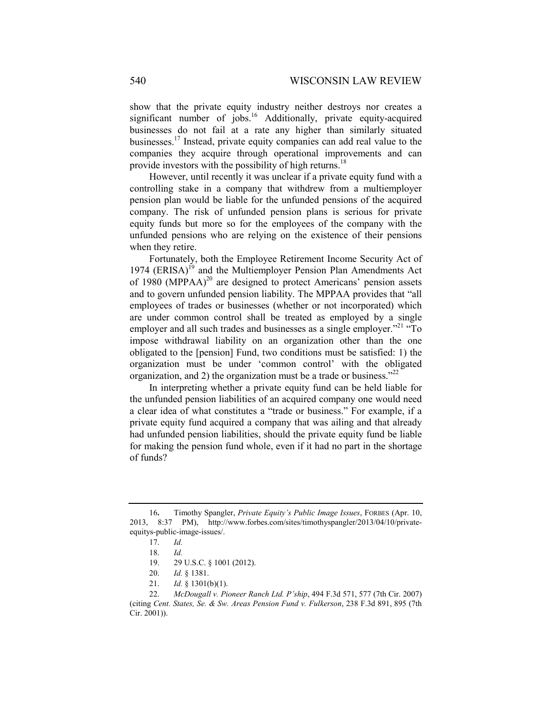show that the private equity industry neither destroys nor creates a significant number of jobs.<sup>16</sup> Additionally, private equity-acquired businesses do not fail at a rate any higher than similarly situated businesses.17 Instead, private equity companies can add real value to the companies they acquire through operational improvements and can provide investors with the possibility of high returns.<sup>18</sup>

However, until recently it was unclear if a private equity fund with a controlling stake in a company that withdrew from a multiemployer pension plan would be liable for the unfunded pensions of the acquired company. The risk of unfunded pension plans is serious for private equity funds but more so for the employees of the company with the unfunded pensions who are relying on the existence of their pensions when they retire.

Fortunately, both the Employee Retirement Income Security Act of 1974 (ERISA)<sup>19</sup> and the Multiemployer Pension Plan Amendments Act of 1980 (MPPAA)<sup>20</sup> are designed to protect Americans' pension assets and to govern unfunded pension liability. The MPPAA provides that "all employees of trades or businesses (whether or not incorporated) which are under common control shall be treated as employed by a single employer and all such trades and businesses as a single employer. $121 \text{°}$   $\text{°}$ impose withdrawal liability on an organization other than the one obligated to the [pension] Fund, two conditions must be satisfied: 1) the organization must be under 'common control' with the obligated organization, and 2) the organization must be a trade or business."<sup>22</sup>

In interpreting whether a private equity fund can be held liable for the unfunded pension liabilities of an acquired company one would need a clear idea of what constitutes a "trade or business." For example, if a private equity fund acquired a company that was ailing and that already had unfunded pension liabilities, should the private equity fund be liable for making the pension fund whole, even if it had no part in the shortage of funds?

<sup>16</sup>**.** Timothy Spangler, *Private Equity's Public Image Issues*, FORBES (Apr. 10, 2013, 8:37 PM), http://www.forbes.com/sites/timothyspangler/2013/04/10/privateequitys-public-image-issues/.

<sup>17.</sup> *Id.*

<sup>18.</sup> *Id.*

<sup>19.</sup> 29 U.S.C. § 1001 (2012).

<sup>20.</sup> *Id.* § 1381.

<sup>21.</sup> *Id.* § 1301(b)(1).

<sup>22.</sup> *McDougall v. Pioneer Ranch Ltd. P'ship*, 494 F.3d 571, 577 (7th Cir. 2007) (citing *Cent. States, Se. & Sw. Areas Pension Fund v. Fulkerson*, 238 F.3d 891, 895 (7th Cir. 2001)).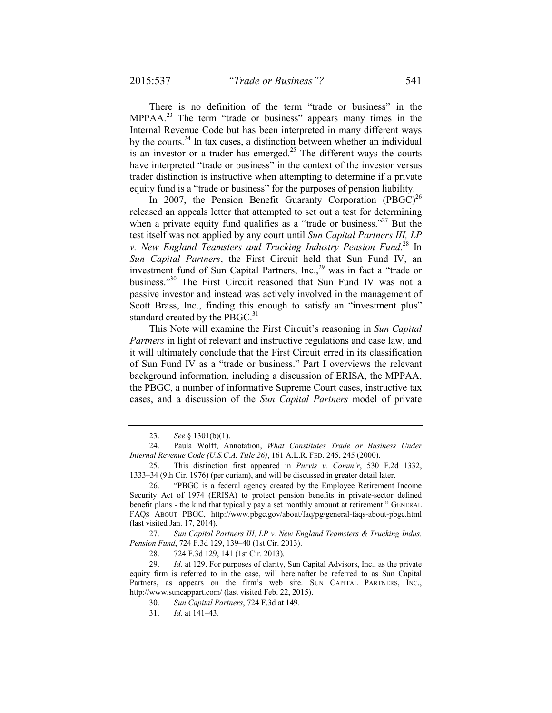There is no definition of the term "trade or business" in the MPPAA<sup>23</sup> The term "trade or business" appears many times in the Internal Revenue Code but has been interpreted in many different ways by the courts.24 In tax cases, a distinction between whether an individual is an investor or a trader has emerged.<sup>25</sup> The different ways the courts have interpreted "trade or business" in the context of the investor versus trader distinction is instructive when attempting to determine if a private equity fund is a "trade or business" for the purposes of pension liability.

In 2007, the Pension Benefit Guaranty Corporation  $(PBGC)^{26}$ released an appeals letter that attempted to set out a test for determining when a private equity fund qualifies as a "trade or business."<sup>27</sup> But the test itself was not applied by any court until *Sun Capital Partners III, LP v. New England Teamsters and Trucking Industry Pension Fund*. 28 In *Sun Capital Partners*, the First Circuit held that Sun Fund IV, an investment fund of Sun Capital Partners, Inc., $^{29}$  was in fact a "trade or business."30 The First Circuit reasoned that Sun Fund IV was not a passive investor and instead was actively involved in the management of Scott Brass, Inc., finding this enough to satisfy an "investment plus" standard created by the PBGC.<sup>31</sup>

This Note will examine the First Circuit's reasoning in *Sun Capital Partners* in light of relevant and instructive regulations and case law, and it will ultimately conclude that the First Circuit erred in its classification of Sun Fund IV as a "trade or business." Part I overviews the relevant background information, including a discussion of ERISA, the MPPAA, the PBGC, a number of informative Supreme Court cases, instructive tax cases, and a discussion of the *Sun Capital Partners* model of private

27. *Sun Capital Partners III, LP v. New England Teamsters & Trucking Indus. Pension Fund*, 724 F.3d 129, 139–40 (1st Cir. 2013).

28. 724 F.3d 129, 141 (1st Cir. 2013).

29. *Id.* at 129. For purposes of clarity, Sun Capital Advisors, Inc., as the private equity firm is referred to in the case, will hereinafter be referred to as Sun Capital Partners, as appears on the firm's web site. SUN CAPITAL PARTNERS, INC., http://www.suncappart.com/ (last visited Feb. 22, 2015).

30. *Sun Capital Partners*, 724 F.3d at 149.

<sup>23.</sup> *See* § 1301(b)(1).

<sup>24.</sup> Paula Wolff, Annotation, *What Constitutes Trade or Business Under Internal Revenue Code (U.S.C.A. Title 26)*, 161 A.L.R. FED. 245, 245 (2000).

<sup>25.</sup> This distinction first appeared in *Purvis v. Comm'r*, 530 F.2d 1332, 1333–34 (9th Cir. 1976) (per curiam), and will be discussed in greater detail later.

<sup>26. &</sup>quot;PBGC is a federal agency created by the Employee Retirement Income Security Act of 1974 (ERISA) to protect pension benefits in private-sector defined benefit plans - the kind that typically pay a set monthly amount at retirement." GENERAL FAQS ABOUT PBGC, http://www.pbgc.gov/about/faq/pg/general-faqs-about-pbgc.html (last visited Jan. 17, 2014).

<sup>31.</sup> *Id.* at 141–43.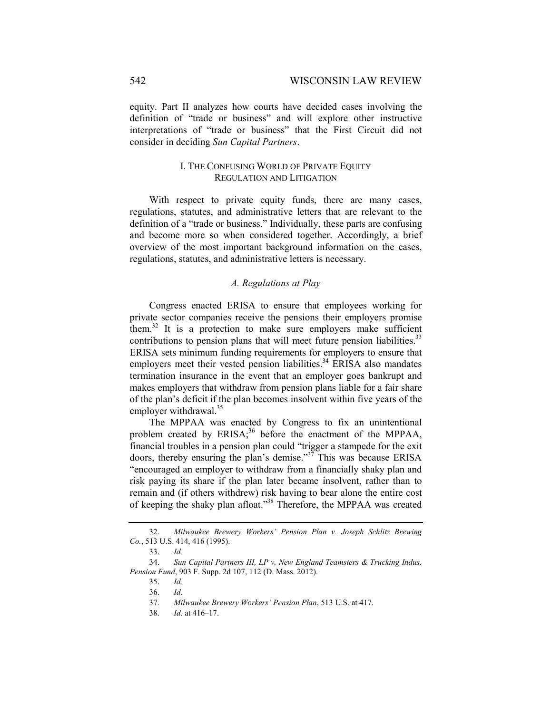equity. Part II analyzes how courts have decided cases involving the definition of "trade or business" and will explore other instructive interpretations of "trade or business" that the First Circuit did not consider in deciding *Sun Capital Partners*.

### I. THE CONFUSING WORLD OF PRIVATE EQUITY REGULATION AND LITIGATION

With respect to private equity funds, there are many cases, regulations, statutes, and administrative letters that are relevant to the definition of a "trade or business." Individually, these parts are confusing and become more so when considered together. Accordingly, a brief overview of the most important background information on the cases, regulations, statutes, and administrative letters is necessary.

### *A. Regulations at Play*

Congress enacted ERISA to ensure that employees working for private sector companies receive the pensions their employers promise them.<sup>32</sup> It is a protection to make sure employers make sufficient contributions to pension plans that will meet future pension liabilities.<sup>33</sup> ERISA sets minimum funding requirements for employers to ensure that employers meet their vested pension liabilities.<sup>34</sup> ERISA also mandates termination insurance in the event that an employer goes bankrupt and makes employers that withdraw from pension plans liable for a fair share of the plan's deficit if the plan becomes insolvent within five years of the employer withdrawal. $35$ 

The MPPAA was enacted by Congress to fix an unintentional problem created by  $ERISA$ ;<sup>36</sup> before the enactment of the MPPAA, financial troubles in a pension plan could "trigger a stampede for the exit doors, thereby ensuring the plan's demise."37 This was because ERISA "encouraged an employer to withdraw from a financially shaky plan and risk paying its share if the plan later became insolvent, rather than to remain and (if others withdrew) risk having to bear alone the entire cost of keeping the shaky plan afloat."38 Therefore, the MPPAA was created

<sup>32.</sup> *Milwaukee Brewery Workers' Pension Plan v. Joseph Schlitz Brewing Co.*, 513 U.S. 414, 416 (1995).

<sup>33.</sup> *Id.*

<sup>34.</sup> *Sun Capital Partners III, LP v. New England Teamsters & Trucking Indus. Pension Fund*, 903 F. Supp. 2d 107, 112 (D. Mass. 2012).

<sup>35.</sup> *Id.*

<sup>36.</sup> *Id.*

<sup>37.</sup> *Milwaukee Brewery Workers' Pension Plan*, 513 U.S. at 417.

<sup>38.</sup> *Id.* at 416–17.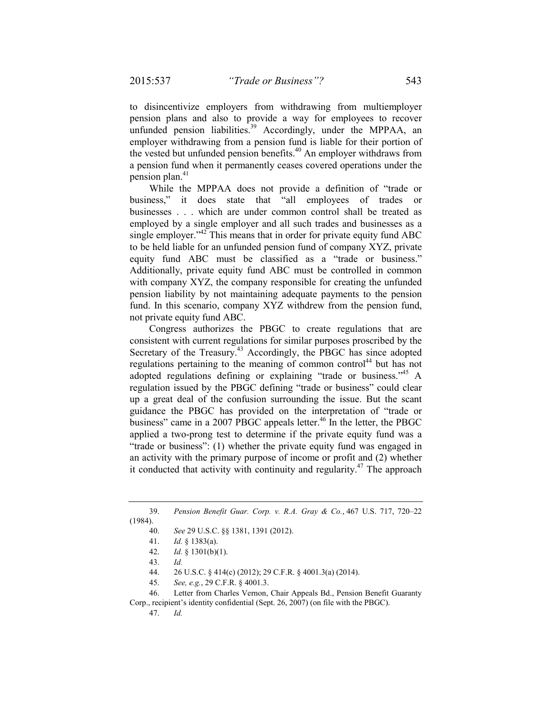to disincentivize employers from withdrawing from multiemployer pension plans and also to provide a way for employees to recover unfunded pension liabilities.<sup>39</sup> Accordingly, under the MPPAA, an employer withdrawing from a pension fund is liable for their portion of the vested but unfunded pension benefits.<sup>40</sup> An employer withdraws from a pension fund when it permanently ceases covered operations under the pension plan.<sup>41</sup>

While the MPPAA does not provide a definition of "trade or business," it does state that "all employees of trades or businesses . . . which are under common control shall be treated as employed by a single employer and all such trades and businesses as a single employer." $^{42}$  This means that in order for private equity fund ABC to be held liable for an unfunded pension fund of company XYZ, private equity fund ABC must be classified as a "trade or business." Additionally, private equity fund ABC must be controlled in common with company XYZ, the company responsible for creating the unfunded pension liability by not maintaining adequate payments to the pension fund. In this scenario, company XYZ withdrew from the pension fund, not private equity fund ABC.

Congress authorizes the PBGC to create regulations that are consistent with current regulations for similar purposes proscribed by the Secretary of the Treasury.<sup>43</sup> Accordingly, the PBGC has since adopted regulations pertaining to the meaning of common control<sup>44</sup> but has not adopted regulations defining or explaining "trade or business."45 A regulation issued by the PBGC defining "trade or business" could clear up a great deal of the confusion surrounding the issue. But the scant guidance the PBGC has provided on the interpretation of "trade or business" came in a 2007 PBGC appeals letter.<sup>46</sup> In the letter, the PBGC applied a two-prong test to determine if the private equity fund was a "trade or business": (1) whether the private equity fund was engaged in an activity with the primary purpose of income or profit and (2) whether it conducted that activity with continuity and regularity.<sup>47</sup> The approach

<sup>39.</sup> *Pension Benefit Guar. Corp. v. R.A. Gray & Co.*, 467 U.S. 717, 720–22 (1984).

<sup>40.</sup> *See* 29 U.S.C. §§ 1381, 1391 (2012).

<sup>41.</sup> *Id.* § 1383(a).

<sup>42.</sup> *Id.* § 1301(b)(1).

<sup>43.</sup> *Id.*

<sup>44.</sup> 26 U.S.C. § 414(c) (2012); 29 C.F.R. § 4001.3(a) (2014).

<sup>45.</sup> *See, e.g.*, 29 C.F.R. § 4001.3.

<sup>46.</sup> Letter from Charles Vernon, Chair Appeals Bd., Pension Benefit Guaranty Corp., recipient's identity confidential (Sept. 26, 2007) (on file with the PBGC).

<sup>47.</sup> *Id.*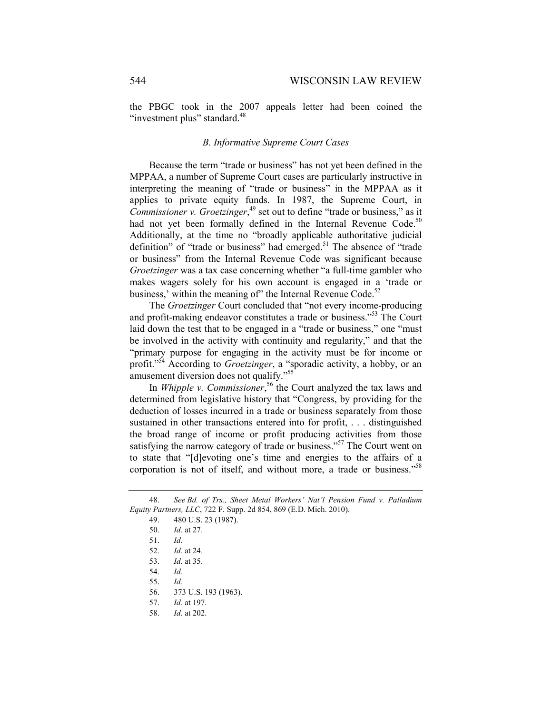the PBGC took in the 2007 appeals letter had been coined the "investment plus" standard.<sup>48</sup>

#### *B. Informative Supreme Court Cases*

Because the term "trade or business" has not yet been defined in the MPPAA, a number of Supreme Court cases are particularly instructive in interpreting the meaning of "trade or business" in the MPPAA as it applies to private equity funds. In 1987, the Supreme Court, in *Commissioner v. Groetzinger*, 49 set out to define "trade or business," as it had not yet been formally defined in the Internal Revenue Code.<sup>50</sup> Additionally, at the time no "broadly applicable authoritative judicial definition" of "trade or business" had emerged.<sup>51</sup> The absence of "trade or business" from the Internal Revenue Code was significant because *Groetzinger* was a tax case concerning whether "a full-time gambler who makes wagers solely for his own account is engaged in a 'trade or business,' within the meaning of" the Internal Revenue Code. $52$ 

The *Groetzinger* Court concluded that "not every income-producing and profit-making endeavor constitutes a trade or business."53 The Court laid down the test that to be engaged in a "trade or business," one "must be involved in the activity with continuity and regularity," and that the "primary purpose for engaging in the activity must be for income or profit."54 According to *Groetzinger*, a "sporadic activity, a hobby, or an amusement diversion does not qualify."<sup>55</sup>

In *Whipple v. Commissioner*, 56 the Court analyzed the tax laws and determined from legislative history that "Congress, by providing for the deduction of losses incurred in a trade or business separately from those sustained in other transactions entered into for profit, . . . distinguished the broad range of income or profit producing activities from those satisfying the narrow category of trade or business."<sup>57</sup> The Court went on to state that "[d]evoting one's time and energies to the affairs of a corporation is not of itself, and without more, a trade or business."<sup>58</sup>

- 57. *Id.* at 197.
- 58. *Id.* at 202.

<sup>48.</sup> *See Bd. of Trs., Sheet Metal Workers' Nat'l Pension Fund v. Palladium Equity Partners, LLC*, 722 F. Supp. 2d 854, 869 (E.D. Mich. 2010).

<sup>49.</sup> 480 U.S. 23 (1987). 50. *Id.* at 27. 51. *Id.* 52. *Id.* at 24. 53. *Id.* at 35.

<sup>54.</sup> *Id.*

<sup>55.</sup> *Id.*

<sup>56.</sup> 373 U.S. 193 (1963).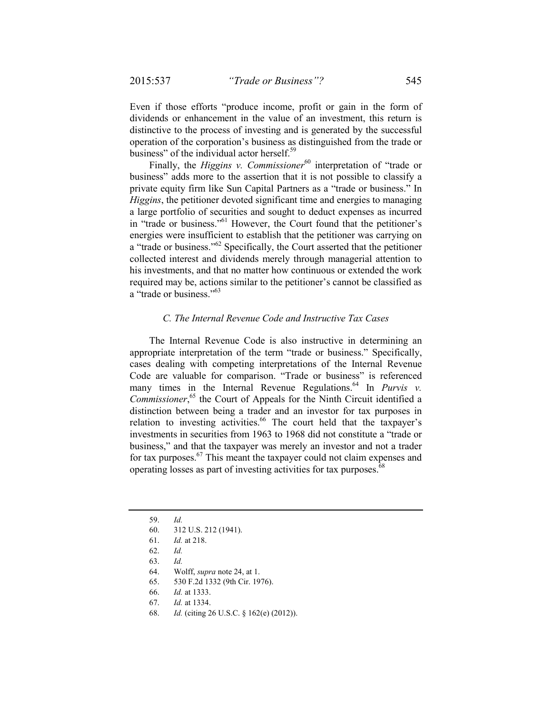Even if those efforts "produce income, profit or gain in the form of dividends or enhancement in the value of an investment, this return is distinctive to the process of investing and is generated by the successful operation of the corporation's business as distinguished from the trade or business" of the individual actor herself.<sup>59</sup>

Finally, the *Higgins v. Commissioner*<sup>60</sup> interpretation of "trade or business" adds more to the assertion that it is not possible to classify a private equity firm like Sun Capital Partners as a "trade or business." In *Higgins*, the petitioner devoted significant time and energies to managing a large portfolio of securities and sought to deduct expenses as incurred in "trade or business."61 However, the Court found that the petitioner's energies were insufficient to establish that the petitioner was carrying on a "trade or business."62 Specifically, the Court asserted that the petitioner collected interest and dividends merely through managerial attention to his investments, and that no matter how continuous or extended the work required may be, actions similar to the petitioner's cannot be classified as a "trade or business."63

#### *C. The Internal Revenue Code and Instructive Tax Cases*

The Internal Revenue Code is also instructive in determining an appropriate interpretation of the term "trade or business." Specifically, cases dealing with competing interpretations of the Internal Revenue Code are valuable for comparison. "Trade or business" is referenced many times in the Internal Revenue Regulations.<sup>64</sup> In *Purvis v. Commissioner*, <sup>65</sup> the Court of Appeals for the Ninth Circuit identified a distinction between being a trader and an investor for tax purposes in relation to investing activities.<sup>66</sup> The court held that the taxpayer's investments in securities from 1963 to 1968 did not constitute a "trade or business," and that the taxpayer was merely an investor and not a trader for tax purposes. $67$  This meant the taxpayer could not claim expenses and operating losses as part of investing activities for tax purposes.<sup>68</sup>

<sup>59.</sup> *Id.*

<sup>60.</sup> 312 U.S. 212 (1941).

<sup>61.</sup> *Id.* at 218.

<sup>62.</sup> *Id.*

<sup>63.</sup> *Id.*

<sup>64.</sup> Wolff, *supra* note 24, at 1.

<sup>65.</sup> 530 F.2d 1332 (9th Cir. 1976).

<sup>66.</sup> *Id.* at 1333.

<sup>67.</sup> *Id.* at 1334.

<sup>68.</sup> *Id.* (citing 26 U.S.C. § 162(e) (2012)).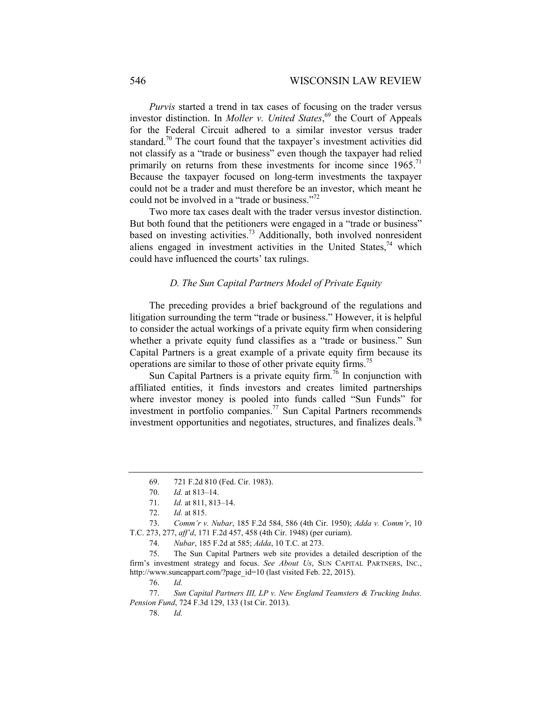*Purvis* started a trend in tax cases of focusing on the trader versus investor distinction. In *Moller v. United States*, 69 the Court of Appeals for the Federal Circuit adhered to a similar investor versus trader standard.<sup>70</sup> The court found that the taxpayer's investment activities did not classify as a "trade or business" even though the taxpayer had relied primarily on returns from these investments for income since  $1965$ .<sup>71</sup> Because the taxpayer focused on long-term investments the taxpayer could not be a trader and must therefore be an investor, which meant he could not be involved in a "trade or business."<sup>72</sup>

Two more tax cases dealt with the trader versus investor distinction. But both found that the petitioners were engaged in a "trade or business" based on investing activities.<sup>73</sup> Additionally, both involved nonresident aliens engaged in investment activities in the United States, $74$  which could have influenced the courts' tax rulings.

### *D. The Sun Capital Partners Model of Private Equity*

The preceding provides a brief background of the regulations and litigation surrounding the term "trade or business." However, it is helpful to consider the actual workings of a private equity firm when considering whether a private equity fund classifies as a "trade or business." Sun Capital Partners is a great example of a private equity firm because its operations are similar to those of other private equity firms.75

Sun Capital Partners is a private equity firm.<sup>76</sup> In conjunction with affiliated entities, it finds investors and creates limited partnerships where investor money is pooled into funds called "Sun Funds" for investment in portfolio companies.<sup>77</sup> Sun Capital Partners recommends investment opportunities and negotiates, structures, and finalizes deals.78

<sup>69.</sup> 721 F.2d 810 (Fed. Cir. 1983).

<sup>70.</sup> *Id.* at 813–14.

<sup>71.</sup> *Id.* at 811, 813–14.

<sup>72.</sup> *Id.* at 815.

<sup>73.</sup> *Comm'r v. Nubar*, 185 F.2d 584, 586 (4th Cir. 1950); *Adda v. Comm'r*, 10 T.C. 273, 277, *aff'd*, 171 F.2d 457, 458 (4th Cir. 1948) (per curiam).

<sup>74.</sup> *Nubar*, 185 F.2d at 585; *Adda*, 10 T.C. at 273.

<sup>75.</sup> The Sun Capital Partners web site provides a detailed description of the firm's investment strategy and focus. *See About Us*, SUN CAPITAL PARTNERS, INC., http://www.suncappart.com/?page\_id=10 (last visited Feb. 22, 2015).

<sup>76.</sup> *Id.*

<sup>77.</sup> *Sun Capital Partners III, LP v. New England Teamsters & Trucking Indus. Pension Fund*, 724 F.3d 129, 133 (1st Cir. 2013).

<sup>78.</sup> *Id.*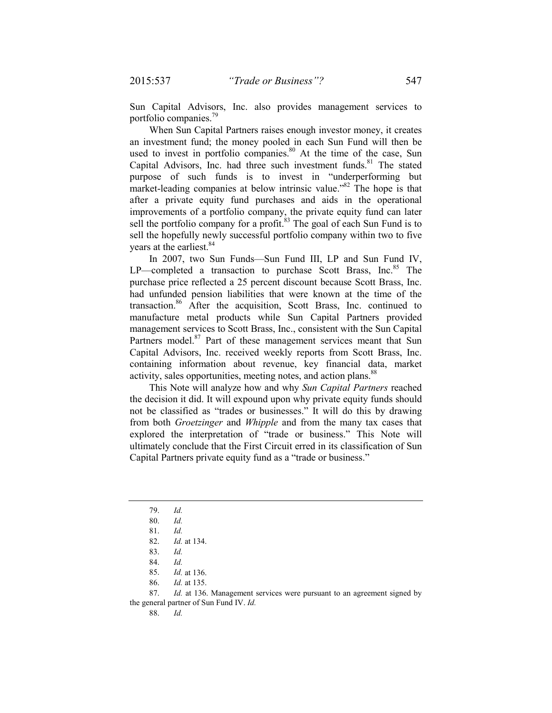Sun Capital Advisors, Inc. also provides management services to portfolio companies.79

When Sun Capital Partners raises enough investor money, it creates an investment fund; the money pooled in each Sun Fund will then be used to invest in portfolio companies. $80$  At the time of the case, Sun Capital Advisors, Inc. had three such investment funds. $81$  The stated purpose of such funds is to invest in "underperforming but market-leading companies at below intrinsic value."82 The hope is that after a private equity fund purchases and aids in the operational improvements of a portfolio company, the private equity fund can later sell the portfolio company for a profit. $83$  The goal of each Sun Fund is to sell the hopefully newly successful portfolio company within two to five years at the earliest.<sup>84</sup>

In 2007, two Sun Funds—Sun Fund III, LP and Sun Fund IV,  $LP$ —completed a transaction to purchase Scott Brass, Inc.<sup>85</sup> The purchase price reflected a 25 percent discount because Scott Brass, Inc. had unfunded pension liabilities that were known at the time of the transaction.86 After the acquisition, Scott Brass, Inc. continued to manufacture metal products while Sun Capital Partners provided management services to Scott Brass, Inc., consistent with the Sun Capital Partners model.<sup>87</sup> Part of these management services meant that Sun Capital Advisors, Inc. received weekly reports from Scott Brass, Inc. containing information about revenue, key financial data, market activity, sales opportunities, meeting notes, and action plans.<sup>88</sup>

This Note will analyze how and why *Sun Capital Partners* reached the decision it did. It will expound upon why private equity funds should not be classified as "trades or businesses." It will do this by drawing from both *Groetzinger* and *Whipple* and from the many tax cases that explored the interpretation of "trade or business." This Note will ultimately conclude that the First Circuit erred in its classification of Sun Capital Partners private equity fund as a "trade or business."

- 79. *Id.*
- 80. *Id.*
- 81. *Id.*
- 82. *Id.* at 134.
- 83. *Id.*
- 84. *Id.*
- 85. *Id.* at 136.

86. *Id.* at 135.

87. *Id.* at 136. Management services were pursuant to an agreement signed by the general partner of Sun Fund IV. *Id.* 

88. *Id.*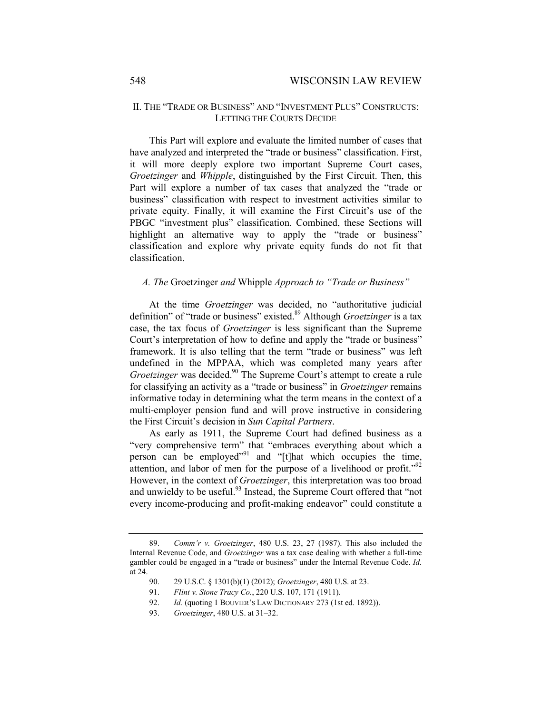# II. THE "TRADE OR BUSINESS" AND "INVESTMENT PLUS" CONSTRUCTS: LETTING THE COURTS DECIDE

This Part will explore and evaluate the limited number of cases that have analyzed and interpreted the "trade or business" classification. First, it will more deeply explore two important Supreme Court cases, *Groetzinger* and *Whipple*, distinguished by the First Circuit. Then, this Part will explore a number of tax cases that analyzed the "trade or business" classification with respect to investment activities similar to private equity. Finally, it will examine the First Circuit's use of the PBGC "investment plus" classification. Combined, these Sections will highlight an alternative way to apply the "trade or business" classification and explore why private equity funds do not fit that classification.

# *A. The* Groetzinger *and* Whipple *Approach to "Trade or Business"*

At the time *Groetzinger* was decided, no "authoritative judicial definition" of "trade or business" existed.<sup>89</sup> Although *Groetzinger* is a tax case, the tax focus of *Groetzinger* is less significant than the Supreme Court's interpretation of how to define and apply the "trade or business" framework. It is also telling that the term "trade or business" was left undefined in the MPPAA, which was completed many years after *Groetzinger* was decided.<sup>90</sup> The Supreme Court's attempt to create a rule for classifying an activity as a "trade or business" in *Groetzinger* remains informative today in determining what the term means in the context of a multi-employer pension fund and will prove instructive in considering the First Circuit's decision in *Sun Capital Partners*.

As early as 1911, the Supreme Court had defined business as a "very comprehensive term" that "embraces everything about which a person can be employed"91 and "[t]hat which occupies the time, attention, and labor of men for the purpose of a livelihood or profit."<sup>92</sup> However, in the context of *Groetzinger*, this interpretation was too broad and unwieldy to be useful. $93$  Instead, the Supreme Court offered that "not" every income-producing and profit-making endeavor" could constitute a

93. *Groetzinger*, 480 U.S. at 31–32.

<sup>89.</sup> *Comm'r v. Groetzinger*, 480 U.S. 23, 27 (1987). This also included the Internal Revenue Code, and *Groetzinger* was a tax case dealing with whether a full-time gambler could be engaged in a "trade or business" under the Internal Revenue Code. *Id.* at 24.

<sup>90.</sup> 29 U.S.C. § 1301(b)(1) (2012); *Groetzinger*, 480 U.S. at 23.

<sup>91.</sup> *Flint v. Stone Tracy Co.*, 220 U.S. 107, 171 (1911).

<sup>92.</sup> *Id.* (quoting 1 BOUVIER's LAW DICTIONARY 273 (1st ed. 1892)).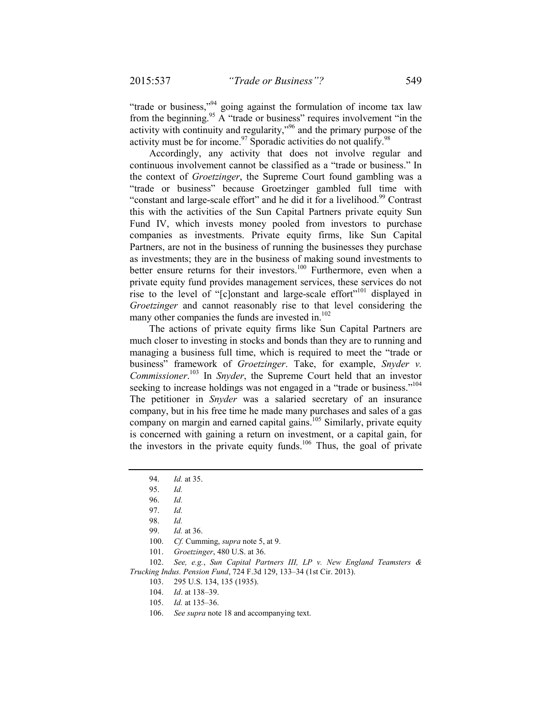"trade or business,"<sup>94</sup> going against the formulation of income tax law from the beginning.<sup>95</sup> A "trade or business" requires involvement "in the activity with continuity and regularity,"96 and the primary purpose of the activity must be for income.  $97$  Sporadic activities do not qualify.  $98$ 

Accordingly, any activity that does not involve regular and continuous involvement cannot be classified as a "trade or business." In the context of *Groetzinger*, the Supreme Court found gambling was a "trade or business" because Groetzinger gambled full time with "constant and large-scale effort" and he did it for a livelihood.<sup>99</sup> Contrast this with the activities of the Sun Capital Partners private equity Sun Fund IV, which invests money pooled from investors to purchase companies as investments. Private equity firms, like Sun Capital Partners, are not in the business of running the businesses they purchase as investments; they are in the business of making sound investments to better ensure returns for their investors.<sup>100</sup> Furthermore, even when a private equity fund provides management services, these services do not rise to the level of "[c]onstant and large-scale effort"<sup>101</sup> displayed in *Groetzinger* and cannot reasonably rise to that level considering the many other companies the funds are invested in.<sup>102</sup>

The actions of private equity firms like Sun Capital Partners are much closer to investing in stocks and bonds than they are to running and managing a business full time, which is required to meet the "trade or business" framework of *Groetzinger*. Take, for example, *Snyder v. Commissioner*. 103 In *Snyder*, the Supreme Court held that an investor seeking to increase holdings was not engaged in a "trade or business."<sup>104</sup> The petitioner in *Snyder* was a salaried secretary of an insurance company, but in his free time he made many purchases and sales of a gas company on margin and earned capital gains.<sup>105</sup> Similarly, private equity is concerned with gaining a return on investment, or a capital gain, for the investors in the private equity funds.<sup>106</sup> Thus, the goal of private

101. *Groetzinger*, 480 U.S. at 36.

 102. *See, e.g.*, *Sun Capital Partners III, LP v. New England Teamsters & Trucking Indus. Pension Fund*, 724 F.3d 129, 133–34 (1st Cir. 2013).

- 103. 295 U.S. 134, 135 (1935).
- 104. *Id*. at 138–39.
- 105. *Id.* at 135–36.
- 106. *See supra* note 18 and accompanying text.

<sup>94.</sup> *Id.* at 35.

<sup>95.</sup> *Id.*

<sup>96.</sup> *Id.*

<sup>97.</sup> *Id.*

<sup>98.</sup> *Id.*

<sup>99.</sup> *Id.* at 36.

 <sup>100.</sup> *Cf.* Cumming, *supra* note 5, at 9.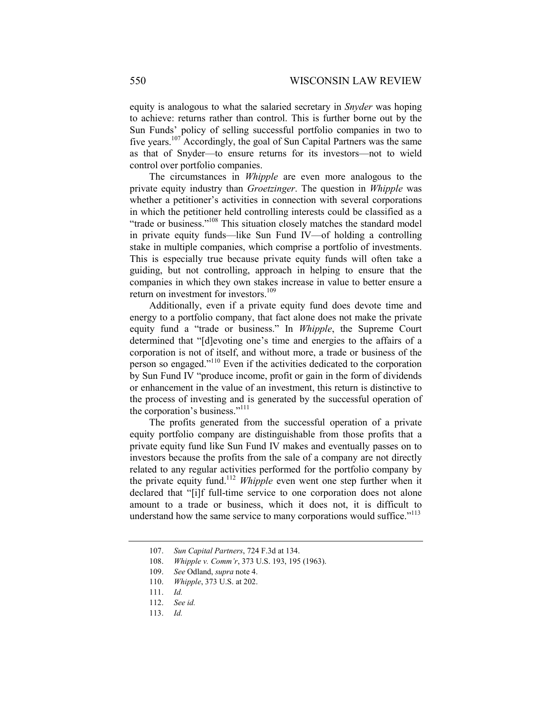equity is analogous to what the salaried secretary in *Snyder* was hoping to achieve: returns rather than control. This is further borne out by the Sun Funds' policy of selling successful portfolio companies in two to five years.107 Accordingly, the goal of Sun Capital Partners was the same as that of Snyder—to ensure returns for its investors—not to wield control over portfolio companies.

The circumstances in *Whipple* are even more analogous to the private equity industry than *Groetzinger*. The question in *Whipple* was whether a petitioner's activities in connection with several corporations in which the petitioner held controlling interests could be classified as a "trade or business."<sup>108</sup> This situation closely matches the standard model in private equity funds—like Sun Fund IV—of holding a controlling stake in multiple companies, which comprise a portfolio of investments. This is especially true because private equity funds will often take a guiding, but not controlling, approach in helping to ensure that the companies in which they own stakes increase in value to better ensure a return on investment for investors.<sup>109</sup>

Additionally, even if a private equity fund does devote time and energy to a portfolio company, that fact alone does not make the private equity fund a "trade or business." In *Whipple*, the Supreme Court determined that "[d]evoting one's time and energies to the affairs of a corporation is not of itself, and without more, a trade or business of the person so engaged."110 Even if the activities dedicated to the corporation by Sun Fund IV "produce income, profit or gain in the form of dividends or enhancement in the value of an investment, this return is distinctive to the process of investing and is generated by the successful operation of the corporation's business."<sup>111</sup>

The profits generated from the successful operation of a private equity portfolio company are distinguishable from those profits that a private equity fund like Sun Fund IV makes and eventually passes on to investors because the profits from the sale of a company are not directly related to any regular activities performed for the portfolio company by the private equity fund.112 *Whipple* even went one step further when it declared that "[i]f full-time service to one corporation does not alone amount to a trade or business, which it does not, it is difficult to understand how the same service to many corporations would suffice."<sup>113</sup>

 <sup>107.</sup> *Sun Capital Partners*, 724 F.3d at 134.

 <sup>108.</sup> *Whipple v. Comm'r*, 373 U.S. 193, 195 (1963).

 <sup>109.</sup> *See* Odland, *supra* note 4.

 <sup>110.</sup> *Whipple*, 373 U.S. at 202.

 <sup>111.</sup> *Id.*

 <sup>112.</sup> *See id.*

 <sup>113.</sup> *Id.*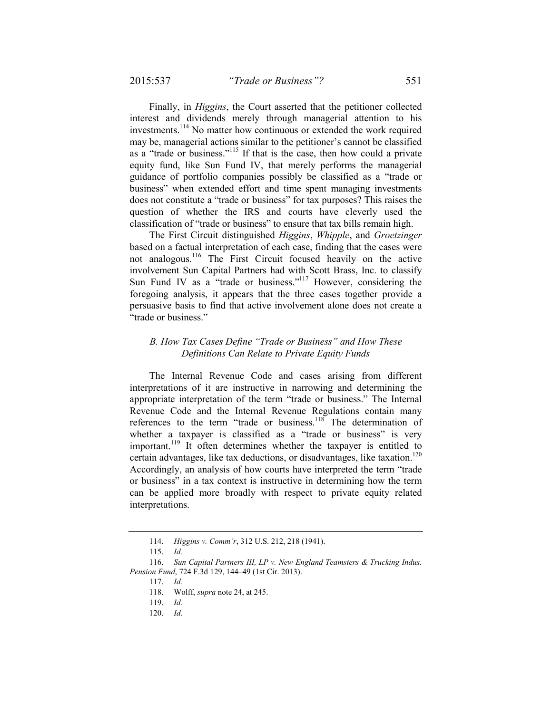Finally, in *Higgins*, the Court asserted that the petitioner collected interest and dividends merely through managerial attention to his investments.114 No matter how continuous or extended the work required may be, managerial actions similar to the petitioner's cannot be classified as a "trade or business."115 If that is the case, then how could a private equity fund, like Sun Fund IV, that merely performs the managerial guidance of portfolio companies possibly be classified as a "trade or business" when extended effort and time spent managing investments does not constitute a "trade or business" for tax purposes? This raises the question of whether the IRS and courts have cleverly used the classification of "trade or business" to ensure that tax bills remain high.

The First Circuit distinguished *Higgins*, *Whipple*, and *Groetzinger* based on a factual interpretation of each case, finding that the cases were not analogous.116 The First Circuit focused heavily on the active involvement Sun Capital Partners had with Scott Brass, Inc. to classify Sun Fund IV as a "trade or business."<sup>117</sup> However, considering the foregoing analysis, it appears that the three cases together provide a persuasive basis to find that active involvement alone does not create a "trade or business."

# *B. How Tax Cases Define "Trade or Business" and How These Definitions Can Relate to Private Equity Funds*

The Internal Revenue Code and cases arising from different interpretations of it are instructive in narrowing and determining the appropriate interpretation of the term "trade or business." The Internal Revenue Code and the Internal Revenue Regulations contain many references to the term "trade or business.<sup>118</sup> The determination of whether a taxpayer is classified as a "trade or business" is very important.<sup>119</sup> It often determines whether the taxpayer is entitled to certain advantages, like tax deductions, or disadvantages, like taxation.<sup>120</sup> Accordingly, an analysis of how courts have interpreted the term "trade or business" in a tax context is instructive in determining how the term can be applied more broadly with respect to private equity related interpretations.

 <sup>114.</sup> *Higgins v. Comm'r*, 312 U.S. 212, 218 (1941).

 <sup>115.</sup> *Id.*

 <sup>116.</sup> *Sun Capital Partners III, LP v. New England Teamsters & Trucking Indus. Pension Fund*, 724 F.3d 129, 144–49 (1st Cir. 2013).

 <sup>117.</sup> *Id.*

 <sup>118.</sup> Wolff, *supra* note 24, at 245.

 <sup>119.</sup> *Id.* 

 <sup>120.</sup> *Id.*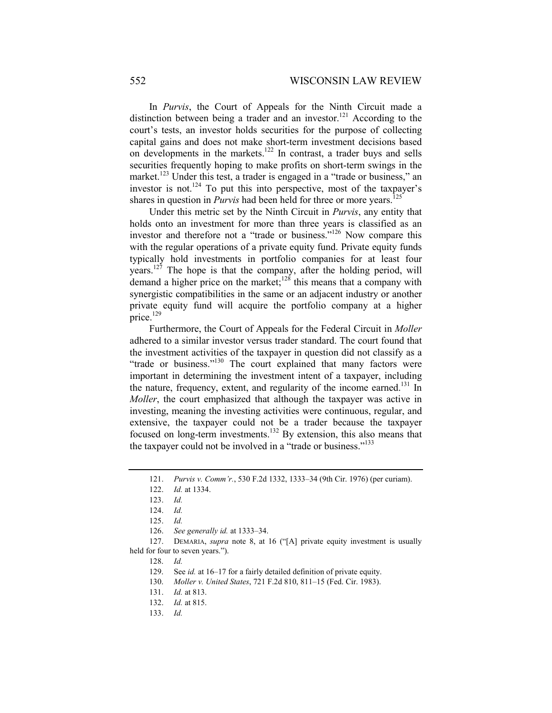In *Purvis*, the Court of Appeals for the Ninth Circuit made a distinction between being a trader and an investor.<sup>121</sup> According to the court's tests, an investor holds securities for the purpose of collecting capital gains and does not make short-term investment decisions based on developments in the markets.<sup>122</sup> In contrast, a trader buys and sells securities frequently hoping to make profits on short-term swings in the market.<sup>123</sup> Under this test, a trader is engaged in a "trade or business," an investor is not.<sup>124</sup> To put this into perspective, most of the taxpayer's shares in question in *Purvis* had been held for three or more years.<sup>125</sup>

Under this metric set by the Ninth Circuit in *Purvis*, any entity that holds onto an investment for more than three years is classified as an investor and therefore not a "trade or business."126 Now compare this with the regular operations of a private equity fund. Private equity funds typically hold investments in portfolio companies for at least four years.<sup>127</sup> The hope is that the company, after the holding period, will demand a higher price on the market;<sup>128</sup> this means that a company with synergistic compatibilities in the same or an adjacent industry or another private equity fund will acquire the portfolio company at a higher price.<sup>129</sup>

Furthermore, the Court of Appeals for the Federal Circuit in *Moller*  adhered to a similar investor versus trader standard. The court found that the investment activities of the taxpayer in question did not classify as a "trade or business."<sup>130</sup> The court explained that many factors were important in determining the investment intent of a taxpayer, including the nature, frequency, extent, and regularity of the income earned.<sup>131</sup> In *Moller*, the court emphasized that although the taxpayer was active in investing, meaning the investing activities were continuous, regular, and extensive, the taxpayer could not be a trader because the taxpayer focused on long-term investments.132 By extension, this also means that the taxpayer could not be involved in a "trade or business."<sup>133</sup>

 <sup>121.</sup> *Purvis v. Comm'r.*, 530 F.2d 1332, 1333–34 (9th Cir. 1976) (per curiam).

 <sup>122.</sup> *Id.* at 1334.

 <sup>123.</sup> *Id.*

 <sup>124.</sup> *Id.*

 <sup>125.</sup> *Id.*

 <sup>126.</sup> *See generally id.* at 1333–34.

 <sup>127.</sup> DEMARIA, *supra* note 8, at 16 ("[A] private equity investment is usually held for four to seven years.").

 <sup>128.</sup> *Id.*

 <sup>129.</sup> See *id.* at 16–17 for a fairly detailed definition of private equity.

 <sup>130.</sup> *Moller v. United States*, 721 F.2d 810, 811–15 (Fed. Cir. 1983).

 <sup>131.</sup> *Id.* at 813.

 <sup>132.</sup> *Id.* at 815.

 <sup>133.</sup> *Id.*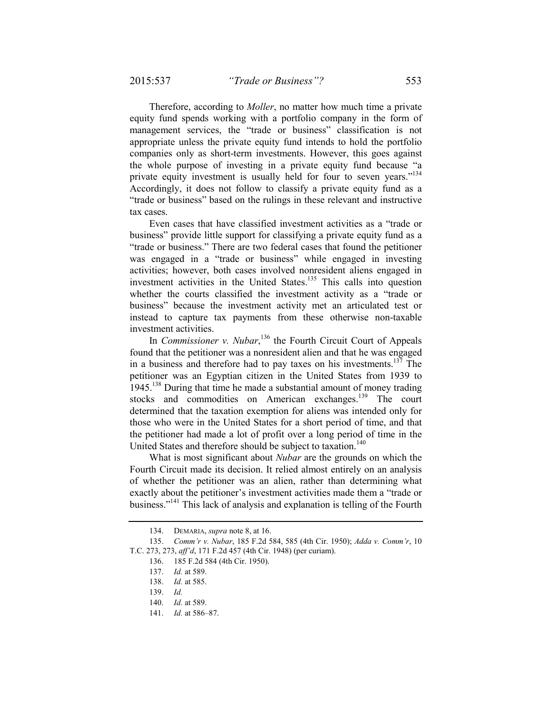Therefore, according to *Moller*, no matter how much time a private equity fund spends working with a portfolio company in the form of management services, the "trade or business" classification is not appropriate unless the private equity fund intends to hold the portfolio companies only as short-term investments. However, this goes against the whole purpose of investing in a private equity fund because "a private equity investment is usually held for four to seven years."<sup>134</sup> Accordingly, it does not follow to classify a private equity fund as a "trade or business" based on the rulings in these relevant and instructive tax cases.

Even cases that have classified investment activities as a "trade or business" provide little support for classifying a private equity fund as a "trade or business." There are two federal cases that found the petitioner was engaged in a "trade or business" while engaged in investing activities; however, both cases involved nonresident aliens engaged in investment activities in the United States.<sup>135</sup> This calls into question whether the courts classified the investment activity as a "trade or business" because the investment activity met an articulated test or instead to capture tax payments from these otherwise non-taxable investment activities.

In *Commissioner v. Nubar*,<sup>136</sup> the Fourth Circuit Court of Appeals found that the petitioner was a nonresident alien and that he was engaged in a business and therefore had to pay taxes on his investments.137 The petitioner was an Egyptian citizen in the United States from 1939 to 1945.<sup>138</sup> During that time he made a substantial amount of money trading stocks and commodities on American exchanges.<sup>139</sup> The court determined that the taxation exemption for aliens was intended only for those who were in the United States for a short period of time, and that the petitioner had made a lot of profit over a long period of time in the United States and therefore should be subject to taxation.<sup>140</sup>

What is most significant about *Nubar* are the grounds on which the Fourth Circuit made its decision. It relied almost entirely on an analysis of whether the petitioner was an alien, rather than determining what exactly about the petitioner's investment activities made them a "trade or business."141 This lack of analysis and explanation is telling of the Fourth

 <sup>134.</sup> DEMARIA, *supra* note 8, at 16.

 <sup>135.</sup> *Comm'r v. Nubar*, 185 F.2d 584, 585 (4th Cir. 1950); *Adda v. Comm'r*, 10 T.C. 273, 273, *aff'd*, 171 F.2d 457 (4th Cir. 1948) (per curiam).

<sup>136. 185</sup> F.2d 584 (4th Cir. 1950).

 <sup>137.</sup> *Id.* at 589.

 <sup>138.</sup> *Id.* at 585.

 <sup>139.</sup> *Id.*

 <sup>140.</sup> *Id.* at 589.

 <sup>141.</sup> *Id.* at 586–87.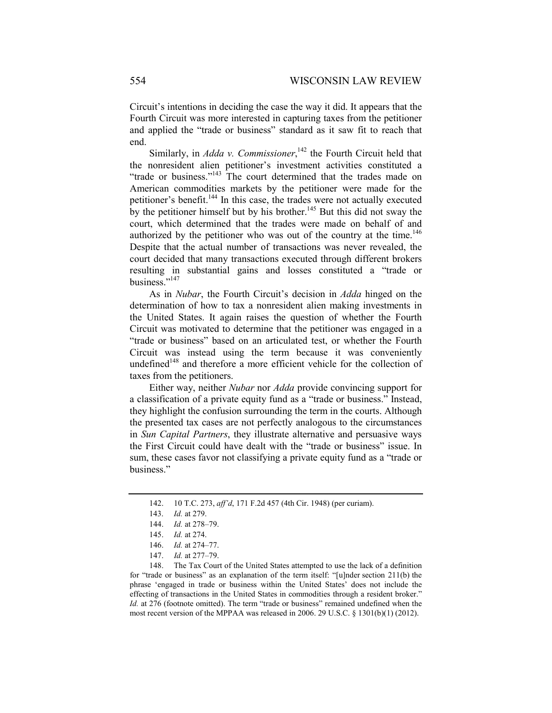Circuit's intentions in deciding the case the way it did. It appears that the Fourth Circuit was more interested in capturing taxes from the petitioner and applied the "trade or business" standard as it saw fit to reach that end.

Similarly, in *Adda v. Commissioner*,<sup>142</sup> the Fourth Circuit held that the nonresident alien petitioner's investment activities constituted a "trade or business."143 The court determined that the trades made on American commodities markets by the petitioner were made for the petitioner's benefit.<sup>144</sup> In this case, the trades were not actually executed by the petitioner himself but by his brother.<sup>145</sup> But this did not sway the court, which determined that the trades were made on behalf of and authorized by the petitioner who was out of the country at the time.<sup>146</sup> Despite that the actual number of transactions was never revealed, the court decided that many transactions executed through different brokers resulting in substantial gains and losses constituted a "trade or business."147

As in *Nubar*, the Fourth Circuit's decision in *Adda* hinged on the determination of how to tax a nonresident alien making investments in the United States. It again raises the question of whether the Fourth Circuit was motivated to determine that the petitioner was engaged in a "trade or business" based on an articulated test, or whether the Fourth Circuit was instead using the term because it was conveniently undefined<sup>148</sup> and therefore a more efficient vehicle for the collection of taxes from the petitioners.

Either way, neither *Nubar* nor *Adda* provide convincing support for a classification of a private equity fund as a "trade or business." Instead, they highlight the confusion surrounding the term in the courts. Although the presented tax cases are not perfectly analogous to the circumstances in *Sun Capital Partners*, they illustrate alternative and persuasive ways the First Circuit could have dealt with the "trade or business" issue. In sum, these cases favor not classifying a private equity fund as a "trade or business."

148. The Tax Court of the United States attempted to use the lack of a definition for "trade or business" as an explanation of the term itself: "[u]nder section 211(b) the phrase 'engaged in trade or business within the United States' does not include the effecting of transactions in the United States in commodities through a resident broker." *Id.* at 276 (footnote omitted). The term "trade or business" remained undefined when the most recent version of the MPPAA was released in 2006. 29 U.S.C. § 1301(b)(1) (2012).

 <sup>142. 10</sup> T.C. 273, *aff'd*, 171 F.2d 457 (4th Cir. 1948) (per curiam).

 <sup>143.</sup> *Id.* at 279.

 <sup>144.</sup> *Id.* at 278–79.

 <sup>145.</sup> *Id.* at 274.

 <sup>146.</sup> *Id.* at 274–77.

 <sup>147.</sup> *Id.* at 277–79.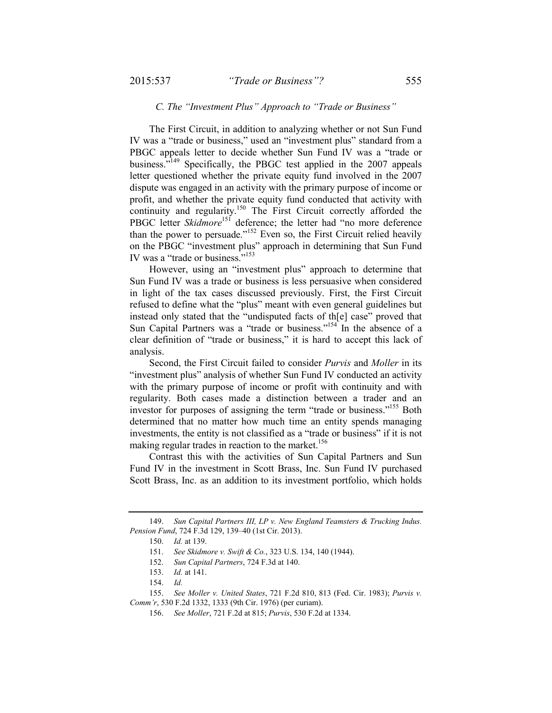# 2015:537 *"Trade or Business"?* 555

#### *C. The "Investment Plus" Approach to "Trade or Business"*

The First Circuit, in addition to analyzing whether or not Sun Fund IV was a "trade or business," used an "investment plus" standard from a PBGC appeals letter to decide whether Sun Fund IV was a "trade or business.<sup>7149</sup> Specifically, the PBGC test applied in the 2007 appeals letter questioned whether the private equity fund involved in the 2007 dispute was engaged in an activity with the primary purpose of income or profit, and whether the private equity fund conducted that activity with continuity and regularity.<sup>150</sup> The First Circuit correctly afforded the PBGC letter *Skidmore*<sup>151</sup> deference; the letter had "no more deference than the power to persuade."<sup>152</sup> Even so, the First Circuit relied heavily on the PBGC "investment plus" approach in determining that Sun Fund IV was a "trade or business."<sup>153</sup>

However, using an "investment plus" approach to determine that Sun Fund IV was a trade or business is less persuasive when considered in light of the tax cases discussed previously. First, the First Circuit refused to define what the "plus" meant with even general guidelines but instead only stated that the "undisputed facts of th[e] case" proved that Sun Capital Partners was a "trade or business."<sup>154</sup> In the absence of a clear definition of "trade or business," it is hard to accept this lack of analysis.

Second, the First Circuit failed to consider *Purvis* and *Moller* in its "investment plus" analysis of whether Sun Fund IV conducted an activity with the primary purpose of income or profit with continuity and with regularity. Both cases made a distinction between a trader and an investor for purposes of assigning the term "trade or business."155 Both determined that no matter how much time an entity spends managing investments, the entity is not classified as a "trade or business" if it is not making regular trades in reaction to the market.<sup>156</sup>

Contrast this with the activities of Sun Capital Partners and Sun Fund IV in the investment in Scott Brass, Inc. Sun Fund IV purchased Scott Brass, Inc. as an addition to its investment portfolio, which holds

 <sup>149.</sup> *Sun Capital Partners III, LP v. New England Teamsters & Trucking Indus. Pension Fund*, 724 F.3d 129, 139–40 (1st Cir. 2013).

 <sup>150.</sup> *Id.* at 139.

 <sup>151.</sup> *See Skidmore v. Swift & Co.*, 323 U.S. 134, 140 (1944).

 <sup>152.</sup> *Sun Capital Partners*, 724 F.3d at 140.

 <sup>153.</sup> *Id.* at 141.

 <sup>154.</sup> *Id.*

 <sup>155.</sup> *See Moller v. United States*, 721 F.2d 810, 813 (Fed. Cir. 1983); *Purvis v. Comm'r*, 530 F.2d 1332, 1333 (9th Cir. 1976) (per curiam).

 <sup>156.</sup> *See Moller*, 721 F.2d at 815; *Purvis*, 530 F.2d at 1334.